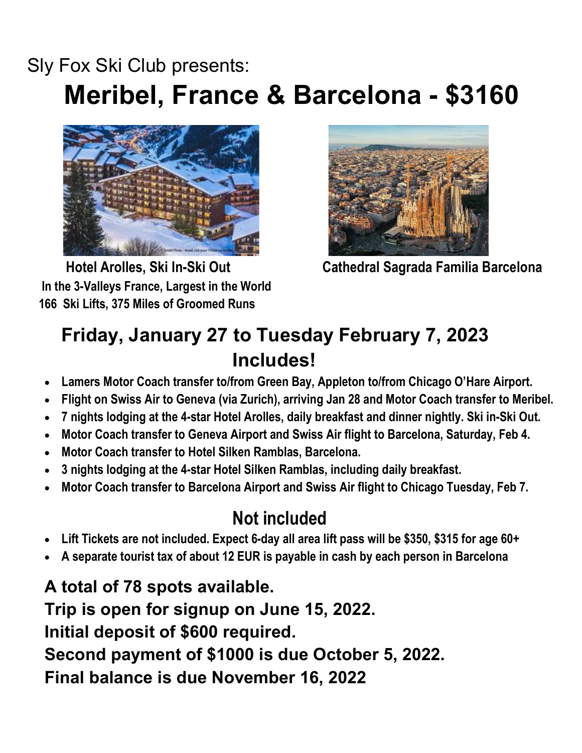## Sly Fox Ski Club presents: Meribel, France & Barcelona - \$3160



 Hotel Arolles, Ski In-Ski Out In the 3-Valleys France, Largest in the World 166 Ski Lifts, 375 Miles of Groomed Runs



Cathedral Sagrada Familia Barcelona

## Friday, January 27 to Tuesday February 7, 2023 Includes!

- Lamers Motor Coach transfer to/from Green Bay, Appleton to/from Chicago O'Hare Airport.
- Flight on Swiss Air to Geneva (via Zurich), arriving Jan 28 and Motor Coach transfer to Meribel.
- 7 nights lodging at the 4-star Hotel Arolles, daily breakfast and dinner nightly. Ski in-Ski Out.
- Motor Coach transfer to Geneva Airport and Swiss Air flight to Barcelona, Saturday, Feb 4.
- Motor Coach transfer to Hotel Silken Ramblas, Barcelona.
- 3 nights lodging at the 4-star Hotel Silken Ramblas, including daily breakfast.
- Motor Coach transfer to Barcelona Airport and Swiss Air flight to Chicago Tuesday, Feb 7.

## Not included

- Lift Tickets are not included. Expect 6-day all area lift pass will be \$350, \$315 for age 60+
- A separate tourist tax of about 12 EUR is payable in cash by each person in Barcelona

A total of 78 spots available. Trip is open for signup on June 15, 2022. Initial deposit of \$600 required. Second payment of \$1000 is due October 5, 2022. Final balance is due November 16, 2022